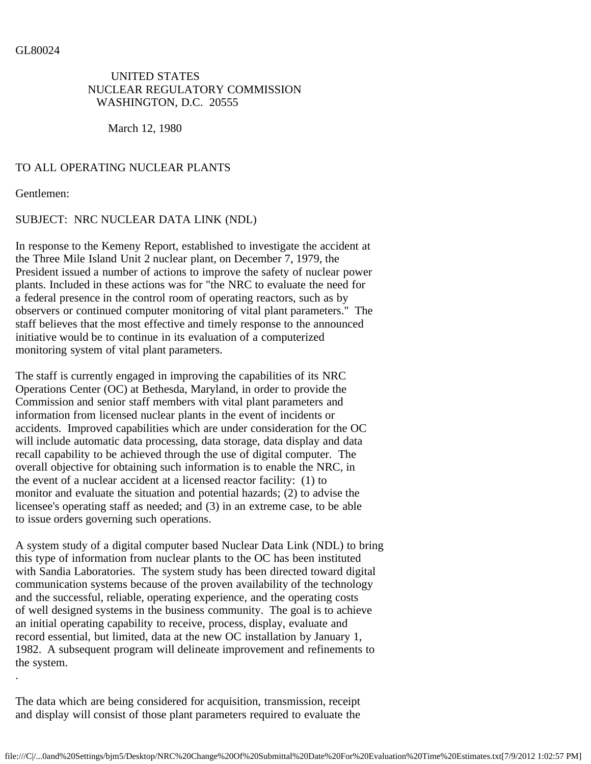## UNITED STATES NUCLEAR REGULATORY COMMISSION WASHINGTON, D.C. 20555

March 12, 1980

## TO ALL OPERATING NUCLEAR PLANTS

Gentlemen:

.

## SUBJECT: NRC NUCLEAR DATA LINK (NDL)

In response to the Kemeny Report, established to investigate the accident at the Three Mile Island Unit 2 nuclear plant, on December 7, 1979, the President issued a number of actions to improve the safety of nuclear power plants. Included in these actions was for "the NRC to evaluate the need for a federal presence in the control room of operating reactors, such as by observers or continued computer monitoring of vital plant parameters." The staff believes that the most effective and timely response to the announced initiative would be to continue in its evaluation of a computerized monitoring system of vital plant parameters.

The staff is currently engaged in improving the capabilities of its NRC Operations Center (OC) at Bethesda, Maryland, in order to provide the Commission and senior staff members with vital plant parameters and information from licensed nuclear plants in the event of incidents or accidents. Improved capabilities which are under consideration for the OC will include automatic data processing, data storage, data display and data recall capability to be achieved through the use of digital computer. The overall objective for obtaining such information is to enable the NRC, in the event of a nuclear accident at a licensed reactor facility: (1) to monitor and evaluate the situation and potential hazards; (2) to advise the licensee's operating staff as needed; and (3) in an extreme case, to be able to issue orders governing such operations.

A system study of a digital computer based Nuclear Data Link (NDL) to bring this type of information from nuclear plants to the OC has been instituted with Sandia Laboratories. The system study has been directed toward digital communication systems because of the proven availability of the technology and the successful, reliable, operating experience, and the operating costs of well designed systems in the business community. The goal is to achieve an initial operating capability to receive, process, display, evaluate and record essential, but limited, data at the new OC installation by January 1, 1982. A subsequent program will delineate improvement and refinements to the system.

The data which are being considered for acquisition, transmission, receipt and display will consist of those plant parameters required to evaluate the